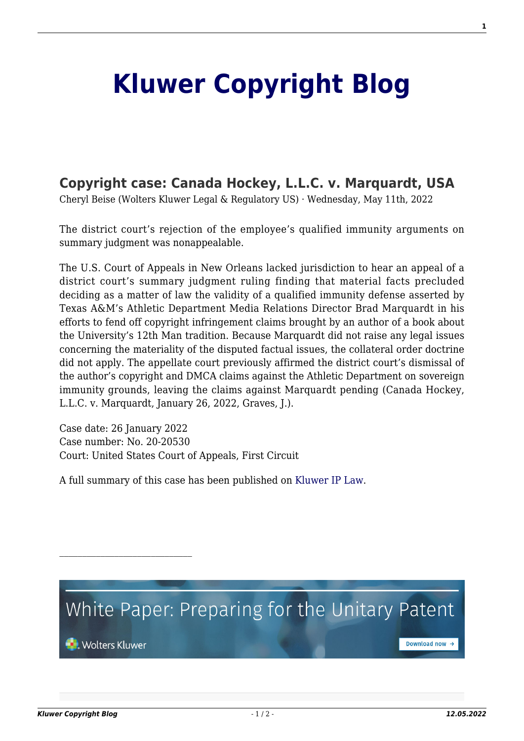## **[Kluwer Copyright Blog](http://copyrightblog.kluweriplaw.com/)**

## **[Copyright case: Canada Hockey, L.L.C. v. Marquardt, USA](http://copyrightblog.kluweriplaw.com/2022/05/11/copyright-case-canada-hockey-l-l-c-v-marquardt-usa/)**

Cheryl Beise (Wolters Kluwer Legal & Regulatory US) · Wednesday, May 11th, 2022

The district court's rejection of the employee's qualified immunity arguments on summary judgment was nonappealable.

The U.S. Court of Appeals in New Orleans lacked jurisdiction to hear an appeal of a district court's summary judgment ruling finding that material facts precluded deciding as a matter of law the validity of a qualified immunity defense asserted by Texas A&M's Athletic Department Media Relations Director Brad Marquardt in his efforts to fend off copyright infringement claims brought by an author of a book about the University's 12th Man tradition. Because Marquardt did not raise any legal issues concerning the materiality of the disputed factual issues, the collateral order doctrine did not apply. The appellate court previously affirmed the district court's dismissal of the author's copyright and DMCA claims against the Athletic Department on sovereign immunity grounds, leaving the claims against Marquardt pending (Canada Hockey, L.L.C. v. Marquardt, January 26, 2022, Graves, J.).

Case date: 26 January 2022 Case number: No. 20-20530 Court: United States Court of Appeals, First Circuit

A full summary of this case has been published on [Kluwer IP Law.](https://www.kluweriplaw.com/document/KLI-KTCL-ONS-22-5-002)